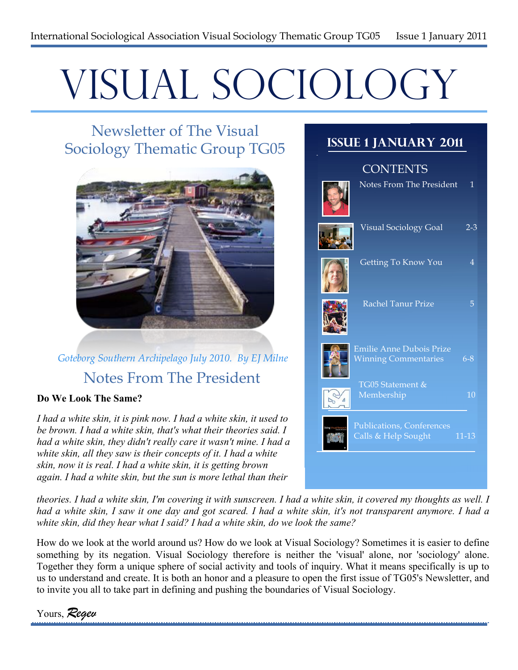# VISUAL SOCIOLOGY

# Newsletter of The Visual<br>ology Thematic Group TG05 Sociology Thematic Group TG05



# *Goteborg Southern Archipelago July 2010. By EJ Milne* Notes From The President

#### **Do We Look The Same?**

*I had a white skin, it is pink now. I had a white skin, it used to be brown. I had a white skin, that's what their theories said. I had a white skin, they didn't really care it wasn't mine. I had a white skin, all they saw is their concepts of it. I had a white skin, now it is real. I had a white skin, it is getting brown again. I had a white skin, but the sun is more lethal than their* 

# **CONTENTS** Notes From The President 1 Visual Sociology Goal 2-3 Getting To Know You 4 Rachel Tanur Prize 5 Emilie Anne Dubois Prize Winning Commentaries 6-8 TG05 Statement & Membership 10 Publications, Conferences Calls & Help Sought 11-13

**Issue 1 January 2011**

*theories. I had a white skin, I'm covering it with sunscreen. I had a white skin, it covered my thoughts as well. I had a white skin, I saw it one day and got scared. I had a white skin, it's not transparent anymore. I had a white skin, did they hear what I said? I had a white skin, do we look the same?* 

How do we look at the world around us? How do we look at Visual Sociology? Sometimes it is easier to define something by its negation. Visual Sociology therefore is neither the 'visual' alone, nor 'sociology' alone. Together they form a unique sphere of social activity and tools of inquiry. What it means specifically is up to us to understand and create. It is both an honor and a pleasure to open the first issue of TG05's Newsletter, and to invite you all to take part in defining and pushing the boundaries of Visual Sociology.

Yours, *Regev*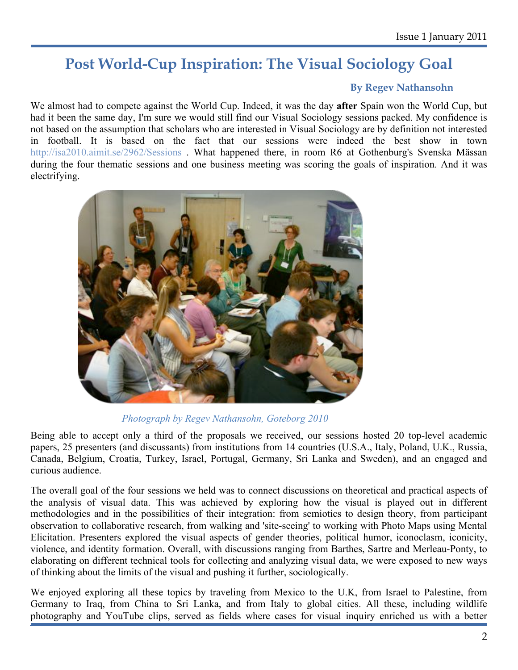## **Post World-Cup Inspiration: The Visual Sociology Goal**

#### **By Regev Nathansohn**

We almost had to compete against the World Cup. Indeed, it was the day **after** Spain won the World Cup, but had it been the same day, I'm sure we would still find our Visual Sociology sessions packed. My confidence is not based on the assumption that scholars who are interested in Visual Sociology are by definition not interested in football. It is based on the fact that our sessions were indeed the best show in town http://isa2010.aimit.se/2962/Sessions . What happened there, in room R6 at Gothenburg's Svenska Mässan during the four thematic sessions and one business meeting was scoring the goals of inspiration. And it was electrifying.



*Photograph by Regev Nathansohn, Goteborg 2010*

Being able to accept only a third of the proposals we received, our sessions hosted 20 top-level academic papers, 25 presenters (and discussants) from institutions from 14 countries (U.S.A., Italy, Poland, U.K., Russia, Canada, Belgium, Croatia, Turkey, Israel, Portugal, Germany, Sri Lanka and Sweden), and an engaged and curious audience.

The overall goal of the four sessions we held was to connect discussions on theoretical and practical aspects of the analysis of visual data. This was achieved by exploring how the visual is played out in different methodologies and in the possibilities of their integration: from semiotics to design theory, from participant observation to collaborative research, from walking and 'site-seeing' to working with Photo Maps using Mental Elicitation. Presenters explored the visual aspects of gender theories, political humor, iconoclasm, iconicity, violence, and identity formation. Overall, with discussions ranging from Barthes, Sartre and Merleau-Ponty, to elaborating on different technical tools for collecting and analyzing visual data, we were exposed to new ways of thinking about the limits of the visual and pushing it further, sociologically.

We enjoyed exploring all these topics by traveling from Mexico to the U.K, from Israel to Palestine, from Germany to Iraq, from China to Sri Lanka, and from Italy to global cities. All these, including wildlife photography and YouTube clips, served as fields where cases for visual inquiry enriched us with a better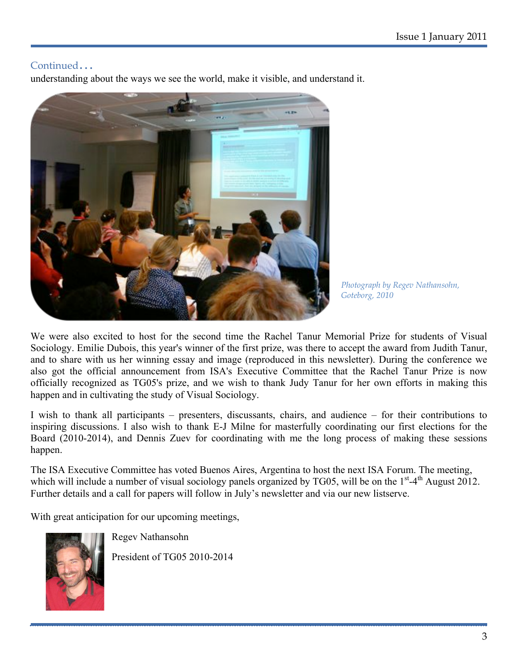#### Continued…

understanding about the ways we see the world, make it visible, and understand it.



*Photograph by Regev Nathansohn, Goteborg, 2010*

We were also excited to host for the second time the Rachel Tanur Memorial Prize for students of Visual Sociology. Emilie Dubois, this year's winner of the first prize, was there to accept the award from Judith Tanur, and to share with us her winning essay and image (reproduced in this newsletter). During the conference we also got the official announcement from ISA's Executive Committee that the Rachel Tanur Prize is now officially recognized as TG05's prize, and we wish to thank Judy Tanur for her own efforts in making this happen and in cultivating the study of Visual Sociology.

I wish to thank all participants – presenters, discussants, chairs, and audience – for their contributions to inspiring discussions. I also wish to thank E-J Milne for masterfully coordinating our first elections for the Board (2010-2014), and Dennis Zuev for coordinating with me the long process of making these sessions happen.

The ISA Executive Committee has voted Buenos Aires, Argentina to host the next ISA Forum. The meeting, which will include a number of visual sociology panels organized by TG05, will be on the  $1<sup>st</sup>$ -4<sup>th</sup> August 2012. Further details and a call for papers will follow in July's newsletter and via our new listserve.

With great anticipation for our upcoming meetings,



Regev Nathansohn

President of TG05 2010-2014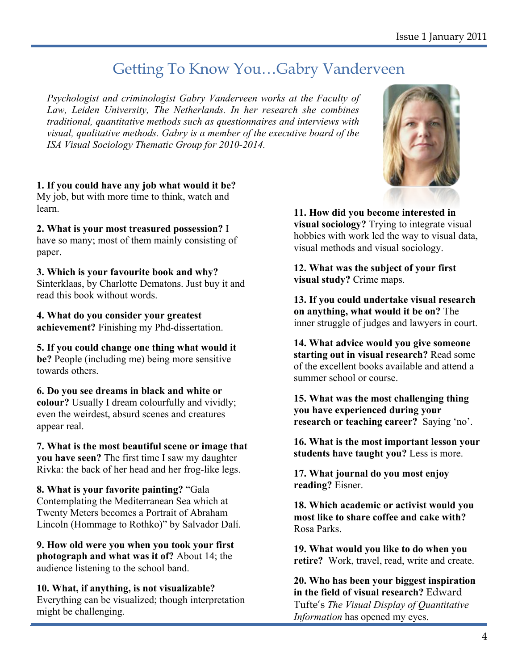# Getting To Know You…Gabry Vanderveen

*Psychologist and criminologist Gabry Vanderveen works at the Faculty of Law, Leiden University, The Netherlands. In her research she combines traditional, quantitative methods such as questionnaires and interviews with visual, qualitative methods. Gabry is a member of the executive board of the ISA Visual Sociology Thematic Group for 2010-2014.*

**1. If you could have any job what would it be?** My job, but with more time to think, watch and learn.

**2. What is your most treasured possession?** I have so many; most of them mainly consisting of paper.

**3. Which is your favourite book and why?**  Sinterklaas, by Charlotte Dematons. Just buy it and read this book without words.

**4. What do you consider your greatest achievement?** Finishing my Phd-dissertation.

**5. If you could change one thing what would it be?** People (including me) being more sensitive towards others.

**6. Do you see dreams in black and white or colour?** Usually I dream colourfully and vividly; even the weirdest, absurd scenes and creatures appear real.

**7. What is the most beautiful scene or image that you have seen?** The first time I saw my daughter Rivka: the back of her head and her frog-like legs.

**8. What is your favorite painting?** "Gala Contemplating the Mediterranean Sea which at Twenty Meters becomes a Portrait of Abraham Lincoln (Hommage to Rothko)" by Salvador Dalí.

**9. How old were you when you took your first photograph and what was it of?** About 14; the audience listening to the school band.

**10. What, if anything, is not visualizable?**  Everything can be visualized; though interpretation might be challenging.



**11. How did you become interested in visual sociology?** Trying to integrate visual hobbies with work led the way to visual data, visual methods and visual sociology.

**12. What was the subject of your first visual study?** Crime maps.

**13. If you could undertake visual research on anything, what would it be on?** The inner struggle of judges and lawyers in court.

**14. What advice would you give someone starting out in visual research?** Read some of the excellent books available and attend a summer school or course.

**15. What was the most challenging thing you have experienced during your research or teaching career?** Saying 'no'.

**16. What is the most important lesson your students have taught you?** Less is more.

**17. What journal do you most enjoy reading?** Eisner.

**18. Which academic or activist would you most like to share coffee and cake with?**  Rosa Parks.

**19. What would you like to do when you retire?** Work, travel, read, write and create.

**20. Who has been your biggest inspiration in the field of visual research?** Edward Tufte's *The Visual Display of Quantitative Information* has opened my eyes.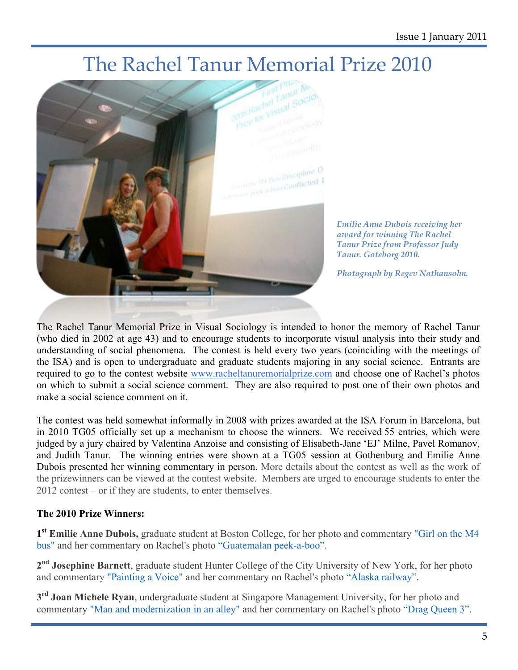# The Rachel Tanur Memorial Prize 2010



*Emilie Anne Dubois receiving her award for winning The Rachel Tanur Prize from Professor Judy Tanur. Goteborg 2010.*

*Photograph by Regev Nathansohn.*

The Rachel Tanur Memorial Prize in Visual Sociology is intended to honor the memory of Rachel Tanur (who died in 2002 at age 43) and to encourage students to incorporate visual analysis into their study and understanding of social phenomena. The contest is held every two years (coinciding with the meetings of the ISA) and is open to undergraduate and graduate students majoring in any social science. Entrants are required to go to the contest website www.racheltanuremorialprize.com and choose one of Rachel's photos on which to submit a social science comment. They are also required to post one of their own photos and make a social science comment on it.

The contest was held somewhat informally in 2008 with prizes awarded at the ISA Forum in Barcelona, but in 2010 TG05 officially set up a mechanism to choose the winners. We received 55 entries, which were judged by a jury chaired by Valentina Anzoise and consisting of Elisabeth-Jane 'EJ' Milne, Pavel Romanov, and Judith Tanur. The winning entries were shown at a TG05 session at Gothenburg and Emilie Anne Dubois presented her winning commentary in person. More details about the contest as well as the work of the prizewinners can be viewed at the contest website. Members are urged to encourage students to enter the 2012 contest – or if they are students, to enter themselves.

#### **The 2010 Prize Winners:**

**1st Emilie Anne Dubois,** graduate student at Boston College, for her photo and commentary "Girl on the M4 bus" and her commentary on Rachel's photo "Guatemalan peek-a-boo".

**2nd Josephine Barnett**, graduate student Hunter College of the City University of New York, for her photo and commentary "Painting a Voice" and her commentary on Rachel's photo "Alaska railway".

**3rd Joan Michele Ryan**, undergraduate student at Singapore Management University, for her photo and commentary "Man and modernization in an alley" and her commentary on Rachel's photo "Drag Queen 3".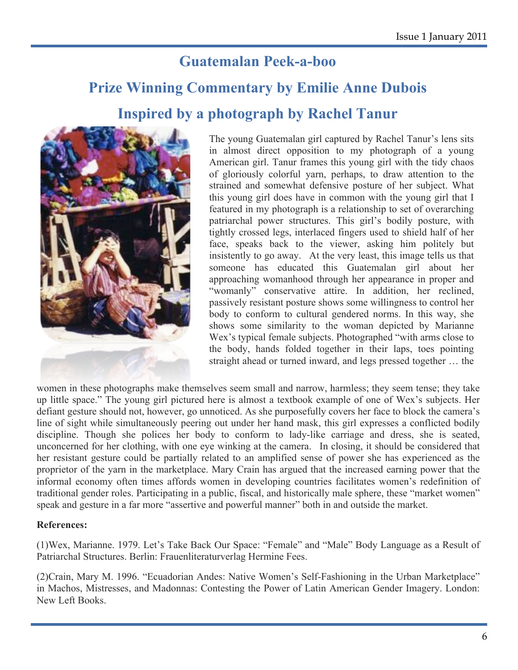# **Guatemalan Peek-a-boo Prize Winning Commentary by Emilie Anne Dubois**

### **Inspired by a photograph by Rachel Tanur**



The young Guatemalan girl captured by Rachel Tanur's lens sits in almost direct opposition to my photograph of a young American girl. Tanur frames this young girl with the tidy chaos of gloriously colorful yarn, perhaps, to draw attention to the strained and somewhat defensive posture of her subject. What this young girl does have in common with the young girl that I featured in my photograph is a relationship to set of overarching patriarchal power structures. This girl's bodily posture, with tightly crossed legs, interlaced fingers used to shield half of her face, speaks back to the viewer, asking him politely but insistently to go away. At the very least, this image tells us that someone has educated this Guatemalan girl about her approaching womanhood through her appearance in proper and "womanly" conservative attire. In addition, her reclined, passively resistant posture shows some willingness to control her body to conform to cultural gendered norms. In this way, she shows some similarity to the woman depicted by Marianne Wex's typical female subjects. Photographed "with arms close to the body, hands folded together in their laps, toes pointing straight ahead or turned inward, and legs pressed together … the

women in these photographs make themselves seem small and narrow, harmless; they seem tense; they take up little space." The young girl pictured here is almost a textbook example of one of Wex's subjects. Her defiant gesture should not, however, go unnoticed. As she purposefully covers her face to block the camera's line of sight while simultaneously peering out under her hand mask, this girl expresses a conflicted bodily discipline. Though she polices her body to conform to lady-like carriage and dress, she is seated, unconcerned for her clothing, with one eye winking at the camera. In closing, it should be considered that her resistant gesture could be partially related to an amplified sense of power she has experienced as the proprietor of the yarn in the marketplace. Mary Crain has argued that the increased earning power that the informal economy often times affords women in developing countries facilitates women's redefinition of traditional gender roles. Participating in a public, fiscal, and historically male sphere, these "market women" speak and gesture in a far more "assertive and powerful manner" both in and outside the market.

#### **References:**

(1)Wex, Marianne. 1979. Let's Take Back Our Space: "Female" and "Male" Body Language as a Result of Patriarchal Structures. Berlin: Frauenliteraturverlag Hermine Fees.

(2)Crain, Mary M. 1996. "Ecuadorian Andes: Native Women's Self-Fashioning in the Urban Marketplace" in Machos, Mistresses, and Madonnas: Contesting the Power of Latin American Gender Imagery. London: New Left Books.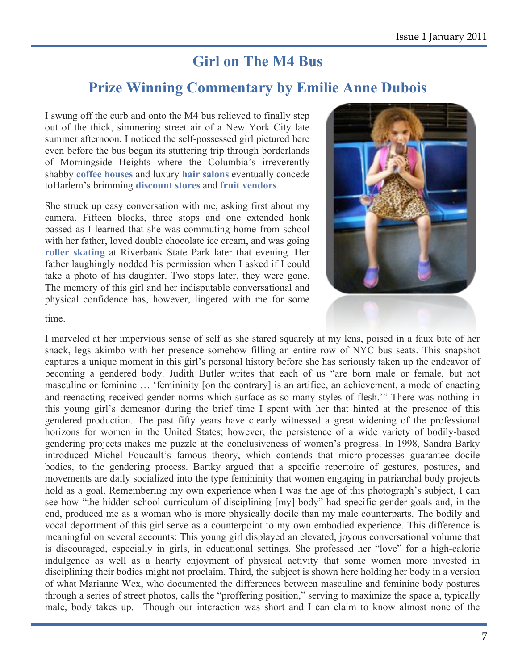#### **Girl on The M4 Bus**

#### **Prize Winning Commentary by Emilie Anne Dubois**

I swung off the curb and onto the M4 bus relieved to finally step out of the thick, simmering street air of a New York City late summer afternoon. I noticed the self-possessed girl pictured here even before the bus began its stuttering trip through borderlands of Morningside Heights where the Columbia's irreverently shabby **coffee houses** and luxury **hair salons** eventually concede toHarlem's brimming **discount stores** and **fruit vendors**.

She struck up easy conversation with me, asking first about my camera. Fifteen blocks, three stops and one extended honk passed as I learned that she was commuting home from school with her father, loved double chocolate ice cream, and was going **roller skating** at Riverbank State Park later that evening. Her father laughingly nodded his permission when I asked if I could take a photo of his daughter. Two stops later, they were gone. The memory of this girl and her indisputable conversational and physical confidence has, however, lingered with me for some



#### time.

I marveled at her impervious sense of self as she stared squarely at my lens, poised in a faux bite of her snack, legs akimbo with her presence somehow filling an entire row of NYC bus seats. This snapshot captures a unique moment in this girl's personal history before she has seriously taken up the endeavor of becoming a gendered body. Judith Butler writes that each of us "are born male or female, but not masculine or feminine … 'femininity [on the contrary] is an artifice, an achievement, a mode of enacting and reenacting received gender norms which surface as so many styles of flesh.'" There was nothing in this young girl's demeanor during the brief time I spent with her that hinted at the presence of this gendered production. The past fifty years have clearly witnessed a great widening of the professional horizons for women in the United States; however, the persistence of a wide variety of bodily-based gendering projects makes me puzzle at the conclusiveness of women's progress. In 1998, Sandra Barky introduced Michel Foucault's famous theory, which contends that micro-processes guarantee docile bodies, to the gendering process. Bartky argued that a specific repertoire of gestures, postures, and movements are daily socialized into the type femininity that women engaging in patriarchal body projects hold as a goal. Remembering my own experience when I was the age of this photograph's subject, I can see how "the hidden school curriculum of disciplining [my] body" had specific gender goals and, in the end, produced me as a woman who is more physically docile than my male counterparts. The bodily and vocal deportment of this girl serve as a counterpoint to my own embodied experience. This difference is meaningful on several accounts: This young girl displayed an elevated, joyous conversational volume that is discouraged, especially in girls, in educational settings. She professed her "love" for a high-calorie indulgence as well as a hearty enjoyment of physical activity that some women more invested in disciplining their bodies might not proclaim. Third, the subject is shown here holding her body in a version of what Marianne Wex, who documented the differences between masculine and feminine body postures through a series of street photos, calls the "proffering position," serving to maximize the space a, typically male, body takes up. Though our interaction was short and I can claim to know almost none of the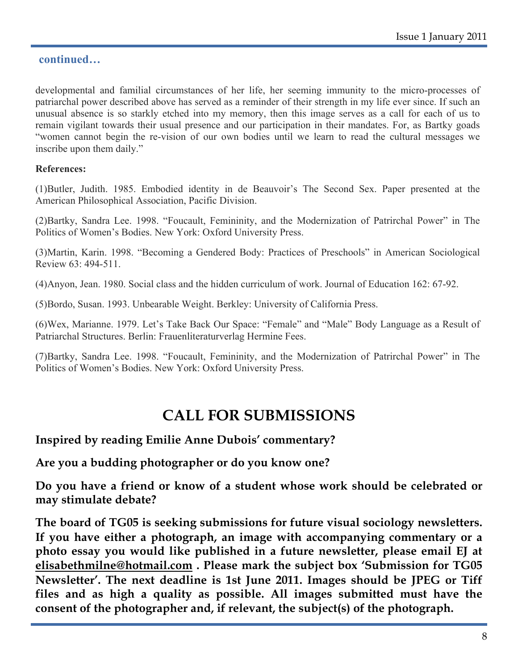#### **continued…**

developmental and familial circumstances of her life, her seeming immunity to the micro-processes of patriarchal power described above has served as a reminder of their strength in my life ever since. If such an unusual absence is so starkly etched into my memory, then this image serves as a call for each of us to remain vigilant towards their usual presence and our participation in their mandates. For, as Bartky goads "women cannot begin the re-vision of our own bodies until we learn to read the cultural messages we inscribe upon them daily."

#### **References:**

(1)Butler, Judith. 1985. Embodied identity in de Beauvoir's The Second Sex. Paper presented at the American Philosophical Association, Pacific Division.

(2)Bartky, Sandra Lee. 1998. "Foucault, Femininity, and the Modernization of Patrirchal Power" in The Politics of Women's Bodies. New York: Oxford University Press.

(3)Martin, Karin. 1998. "Becoming a Gendered Body: Practices of Preschools" in American Sociological Review 63: 494-511.

(4)Anyon, Jean. 1980. Social class and the hidden curriculum of work. Journal of Education 162: 67-92.

(5)Bordo, Susan. 1993. Unbearable Weight. Berkley: University of California Press.

(6)Wex, Marianne. 1979. Let's Take Back Our Space: "Female" and "Male" Body Language as a Result of Patriarchal Structures. Berlin: Frauenliteraturverlag Hermine Fees.

(7)Bartky, Sandra Lee. 1998. "Foucault, Femininity, and the Modernization of Patrirchal Power" in The Politics of Women's Bodies. New York: Oxford University Press.

#### **CALL FOR SUBMISSIONS**

#### **Inspired by reading Emilie Anne Dubois' commentary?**

**Are you a budding photographer or do you know one?**

**Do you have a friend or know of a student whose work should be celebrated or may stimulate debate?**

**The board of TG05 is seeking submissions for future visual sociology newsletters. If you have either a photograph, an image with accompanying commentary or a photo essay you would like published in a future newsletter, please email EJ at elisabethmilne@hotmail.com . Please mark the subject box 'Submission for TG05 Newsletter'. The next deadline is 1st June 2011. Images should be JPEG or Tiff files and as high a quality as possible. All images submitted must have the consent of the photographer and, if relevant, the subject(s) of the photograph.**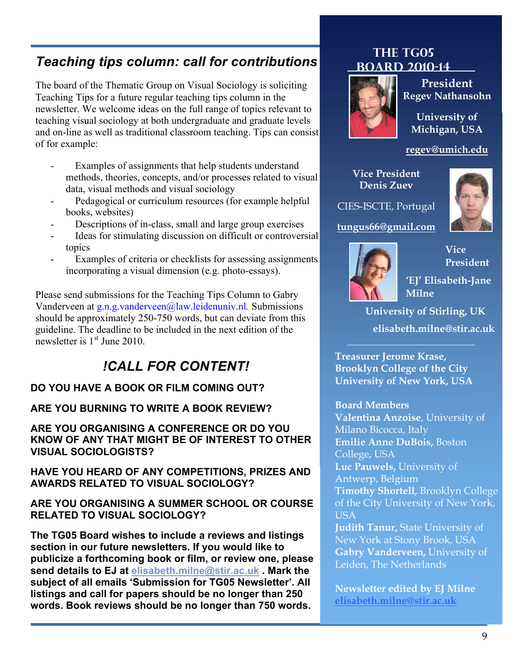### *Teaching tips column: call for contributions*

The board of the Thematic Group on Visual Sociology is soliciting Teaching Tips for a future regular teaching tips column in the newsletter. We welcome ideas on the full range of topics relevant to teaching visual sociology at both undergraduate and graduate levels and on-line as well as traditional classroom teaching. Tips can consist of for example:

- Examples of assignments that help students understand methods, theories, concepts, and/or processes related to visual data, visual methods and visual sociology
- Pedagogical or curriculum resources (for example helpful books, websites)
- Descriptions of in-class, small and large group exercises
- Ideas for stimulating discussion on difficult or controversial topics
- Examples of criteria or checklists for assessing assignments incorporating a visual dimension (e.g. photo-essays).

Please send submissions for the Teaching Tips Column to Gabry Vanderveen at g.n.g.vanderveen@law.leidenuniv.nl*.* Submissions should be approximately 250-750 words, but can deviate from this guideline. The deadline to be included in the next edition of the newsletter is  $1<sup>st</sup>$  June 2010.

### *!CALL FOR CONTENT!*

**DO YOU HAVE A BOOK OR FILM COMING OUT?** 

**ARE YOU BURNING TO WRITE A BOOK REVIEW?**

**ARE YOU ORGANISING A CONFERENCE OR DO YOU KNOW OF ANY THAT MIGHT BE OF INTEREST TO OTHER VISUAL SOCIOLOGISTS?** 

**HAVE YOU HEARD OF ANY COMPETITIONS, PRIZES AND AWARDS RELATED TO VISUAL SOCIOLOGY?** 

#### **ARE YOU ORGANISING A SUMMER SCHOOL OR COURSE RELATED TO VISUAL SOCIOLOGY?**

**The TG05 Board wishes to include a reviews and listings section in our future newsletters. If you would like to publicize a forthcoming book or film, or review one, please send details to EJ at elisabeth.milne@stir.ac.uk . Mark the subject of all emails 'Submission for TG05 Newsletter'. All listings and call for papers should be no longer than 250 words. Book reviews should be no longer than 750 words.**

#### **The TG05 Board 2010-14**



**President Regev Nathansohn**

**University of Michigan, USA**

**regev@umich.edu**

**Vice President Denis Zuev**

CIES-ISCTE, Portugal

**tungus66@gmail.com**





**Vice President**

**'EJ' Elisabeth-Jane Milne**

**University of Stirling, UK elisabeth.milne@stir.ac.uk**

**Treasurer Jerome Krase, Brooklyn College of the City University of New York, USA** 

#### **Board Members Valentina Anzoise**, University of Milano Bicocca, Italy **Emilie Anne DuBois,** Boston College, USA **Luc Pauwels,** University of Antwerp, Belgium **Timothy Shortell,** Brooklyn College of the City University of New York, USA **Judith Tanur,** State University of

New York at Stony Brook, USA **Gabry Vanderveen,** University of Leiden, The Netherlands

**Newsletter edited by EJ Milne elisabeth.milne@stir.ac.uk**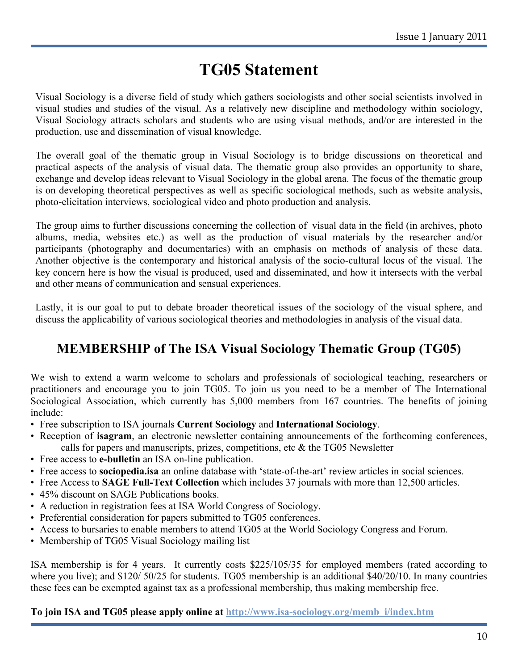# **TG05 Statement**

Visual Sociology is a diverse field of study which gathers sociologists and other social scientists involved in visual studies and studies of the visual. As a relatively new discipline and methodology within sociology, Visual Sociology attracts scholars and students who are using visual methods, and/or are interested in the production, use and dissemination of visual knowledge.

The overall goal of the thematic group in Visual Sociology is to bridge discussions on theoretical and practical aspects of the analysis of visual data. The thematic group also provides an opportunity to share, exchange and develop ideas relevant to Visual Sociology in the global arena. The focus of the thematic group is on developing theoretical perspectives as well as specific sociological methods, such as website analysis, photo-elicitation interviews, sociological video and photo production and analysis.

The group aims to further discussions concerning the collection of visual data in the field (in archives, photo albums, media, websites etc.) as well as the production of visual materials by the researcher and/or participants (photography and documentaries) with an emphasis on methods of analysis of these data. Another objective is the contemporary and historical analysis of the socio-cultural locus of the visual. The key concern here is how the visual is produced, used and disseminated, and how it intersects with the verbal and other means of communication and sensual experiences.

Lastly, it is our goal to put to debate broader theoretical issues of the sociology of the visual sphere, and discuss the applicability of various sociological theories and methodologies in analysis of the visual data.

#### **MEMBERSHIP of The ISA Visual Sociology Thematic Group (TG05)**

We wish to extend a warm welcome to scholars and professionals of sociological teaching, researchers or practitioners and encourage you to join TG05. To join us you need to be a member of The International Sociological Association, which currently has 5,000 members from 167 countries. The benefits of joining include:

- Free subscription to ISA journals **Current Sociology** and **International Sociology**.
- Reception of **isagram**, an electronic newsletter containing announcements of the forthcoming conferences, calls for papers and manuscripts, prizes, competitions, etc  $\&$  the TG05 Newsletter
- Free access to **e-bulletin** an ISA on-line publication.
- Free access to **sociopedia.isa** an online database with 'state-of-the-art' review articles in social sciences.
- Free Access to **SAGE Full-Text Collection** which includes 37 journals with more than 12,500 articles.
- 45% discount on SAGE Publications books.
- A reduction in registration fees at ISA World Congress of Sociology.
- Preferential consideration for papers submitted to TG05 conferences.
- Access to bursaries to enable members to attend TG05 at the World Sociology Congress and Forum.
- Membership of TG05 Visual Sociology mailing list

ISA membership is for 4 years. It currently costs \$225/105/35 for employed members (rated according to where you live); and \$120/ 50/25 for students. TG05 membership is an additional \$40/20/10. In many countries these fees can be exempted against tax as a professional membership, thus making membership free.

#### **To join ISA and TG05 please apply online at http://www.isa-sociology.org/memb\_i/index.htm**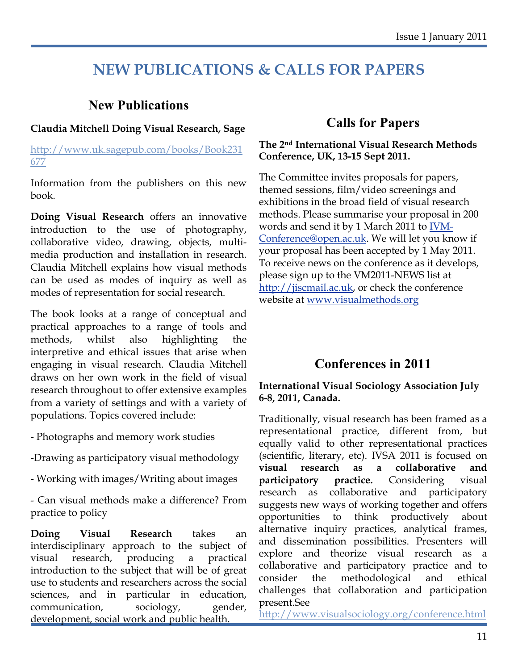# **NEW PUBLICATIONS & CALLS FOR PAPERS**

#### **New Publications**

#### **Claudia Mitchell Doing Visual Research, Sage**

http://www.uk.sagepub.com/books/Book231 677

Information from the publishers on this new book.

**Doing Visual Research** offers an innovative introduction to the use of photography, collaborative video, drawing, objects, multimedia production and installation in research. Claudia Mitchell explains how visual methods can be used as modes of inquiry as well as modes of representation for social research.

The book looks at a range of conceptual and practical approaches to a range of tools and methods, whilst also highlighting the interpretive and ethical issues that arise when engaging in visual research. Claudia Mitchell draws on her own work in the field of visual research throughout to offer extensive examples from a variety of settings and with a variety of populations. Topics covered include:

- Photographs and memory work studies

-Drawing as participatory visual methodology

- Working with images/Writing about images

- Can visual methods make a difference? From practice to policy

**Doing Visual Research** takes an interdisciplinary approach to the subject of visual research, producing a practical introduction to the subject that will be of great use to students and researchers across the social sciences, and in particular in education, communication, sociology, gender, development, social work and public health.

#### **Calls for Papers**

#### **The 2nd International Visual Research Methods Conference, UK, 13-15 Sept 2011.**

The Committee invites proposals for papers, themed sessions, film/video screenings and exhibitions in the broad field of visual research methods. Please summarise your proposal in 200 words and send it by 1 March 2011 to IVM-Conference@open.ac.uk. We will let you know if your proposal has been accepted by 1 May 2011. To receive news on the conference as it develops, please sign up to the VM2011-NEWS list at http://jiscmail.ac.uk, or check the conference website at www.visualmethods.org

#### **Conferences in 2011**

#### **International Visual Sociology Association July 6-8, 2011, Canada.**

Traditionally, visual research has been framed as a representational practice, different from, but equally valid to other representational practices (scientific, literary, etc). IVSA 2011 is focused on **visual research as a collaborative and participatory practice.** Considering visual research as collaborative and participatory suggests new ways of working together and offers opportunities to think productively about alternative inquiry practices, analytical frames, and dissemination possibilities. Presenters will explore and theorize visual research as a collaborative and participatory practice and to consider the methodological and ethical challenges that collaboration and participation present.See

http://www.visualsociology.org/conference.html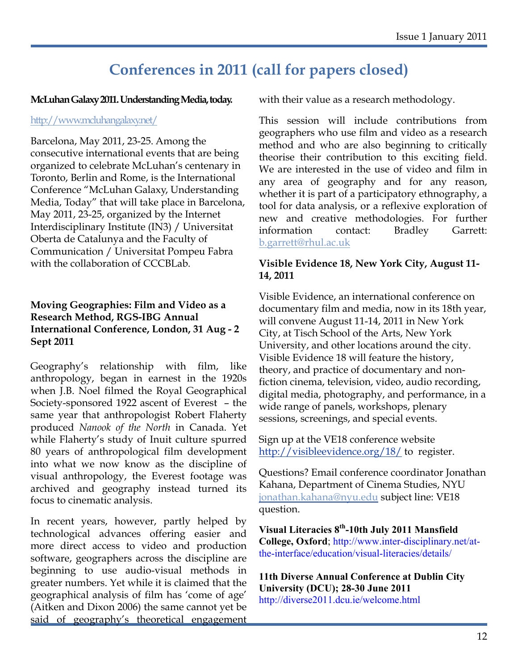# **Conferences in 2011 (call for papers closed)**

#### **McLuhan Galaxy 2011. Understanding Media, today.**

#### http://www.mcluhangalaxy.net/

Barcelona, May 2011, 23-25. Among the consecutive international events that are being organized to celebrate McLuhan's centenary in Toronto, Berlin and Rome, is the International Conference "McLuhan Galaxy, Understanding Media, Today" that will take place in Barcelona, May 2011, 23-25, organized by the Internet Interdisciplinary Institute (IN3) / Universitat Oberta de Catalunya and the Faculty of Communication / Universitat Pompeu Fabra with the collaboration of CCCBLab.

#### **Moving Geographies: Film and Video as a Research Method, RGS-IBG Annual International Conference, London, 31 Aug - 2 Sept 2011**

Geography's relationship with film, like anthropology, began in earnest in the 1920s when J.B. Noel filmed the Royal Geographical Society-sponsored 1922 ascent of Everest – the same year that anthropologist Robert Flaherty produced *Nanook of the North* in Canada. Yet while Flaherty's study of Inuit culture spurred 80 years of anthropological film development into what we now know as the discipline of visual anthropology, the Everest footage was archived and geography instead turned its focus to cinematic analysis.

In recent years, however, partly helped by technological advances offering easier and more direct access to video and production software, geographers across the discipline are beginning to use audio-visual methods in greater numbers. Yet while it is claimed that the geographical analysis of film has 'come of age' (Aitken and Dixon 2006) the same cannot yet be said of geography's theoretical engagement with their value as a research methodology.

This session will include contributions from geographers who use film and video as a research method and who are also beginning to critically theorise their contribution to this exciting field. We are interested in the use of video and film in any area of geography and for any reason, whether it is part of a participatory ethnography, a tool for data analysis, or a reflexive exploration of new and creative methodologies. For further information contact: Bradley Garrett: b.garrett@rhul.ac.uk

#### **Visible Evidence 18, New York City, August 11- 14, 2011**

Visible Evidence, an international conference on documentary film and media, now in its 18th year, will convene August 11-14, 2011 in New York City, at Tisch School of the Arts, New York University, and other locations around the city. Visible Evidence 18 will feature the history, theory, and practice of documentary and nonfiction cinema, television, video, audio recording, digital media, photography, and performance, in a wide range of panels, workshops, plenary sessions, screenings, and special events.

Sign up at the VE18 conference website http://visibleevidence.org/18/ to register.

Questions? Email conference coordinator Jonathan Kahana, Department of Cinema Studies, NYU jonathan.kahana@nyu.edu subject line: VE18 question.

**Visual Literacies 8th-10th July 2011 Mansfield College, Oxford**; http://www.inter-disciplinary.net/atthe-interface/education/visual-literacies/details/

**11th Diverse Annual Conference at Dublin City University (DCU); 28-30 June 2011**  http://diverse2011.dcu.ie/welcome.html